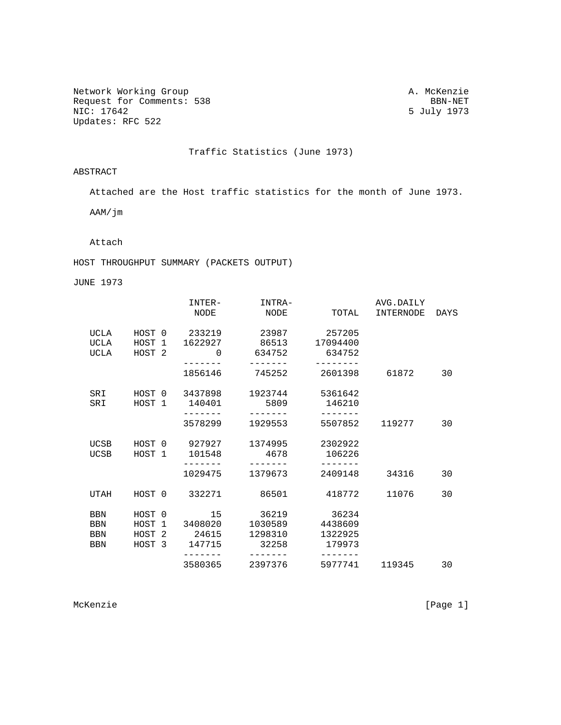Network Working Group<br>Request for Comments: 538 BBN-NET Request for Comments: 538<br>NIC: 17642 Updates: RFC 522

5 July 1973

Traffic Statistics (June 1973)

ABSTRACT

Attached are the Host traffic statistics for the month of June 1973.

AAM/jm

Attach

HOST THROUGHPUT SUMMARY (PACKETS OUTPUT)

JUNE 1973

|             |                   | INTER-             | INTRA-            |                     | AVG.DAILY |      |
|-------------|-------------------|--------------------|-------------------|---------------------|-----------|------|
|             |                   | NODE               | NODE              | TOTAL               | INTERNODE | DAYS |
| UCLA        | HOST 0            | 233219             | 23987             | 257205              |           |      |
| UCLA        | HOST 1            | 1622927            | 86513             | 17094400            |           |      |
| UCLA        | HOST <sub>2</sub> | $\mathbf 0$        | 634752            | 634752              |           |      |
|             |                   | 1856146            | -------<br>745252 | --------<br>2601398 | 61872     | 30   |
| SRI         |                   | HOST 0 3437898     | 1923744           | 5361642             |           |      |
| SRI         | HOST 1            | 140401             | 5809              | 146210              |           |      |
|             |                   | -------<br>3578299 | 1929553           | -------<br>5507852  | 119277    | 30   |
| <b>UCSB</b> | HOST 0            | 927927             | 1374995           | 2302922             |           |      |
| <b>UCSB</b> | HOST 1            | 101548             | 4678              | 106226              |           |      |
|             |                   | 1029475            | 1379673           | -------<br>2409148  | 34316     | 30   |
| UTAH        | HOST 0            | 332271             | 86501             | 418772              | 11076     | 30   |
| <b>BBN</b>  | HOST 0            | 15                 | 36219             | 36234               |           |      |
| <b>BBN</b>  | HOST 1            | 3408020            | 1030589           | 4438609             |           |      |
| <b>BBN</b>  | HOST 2            | 24615              | 1298310           | 1322925             |           |      |
| <b>BBN</b>  | HOST 3            | 147715             | 32258             | 179973              |           |      |
|             |                   | 3580365            | 2397376           | 5977741             | 119345    | 30   |

McKenzie [Page 1]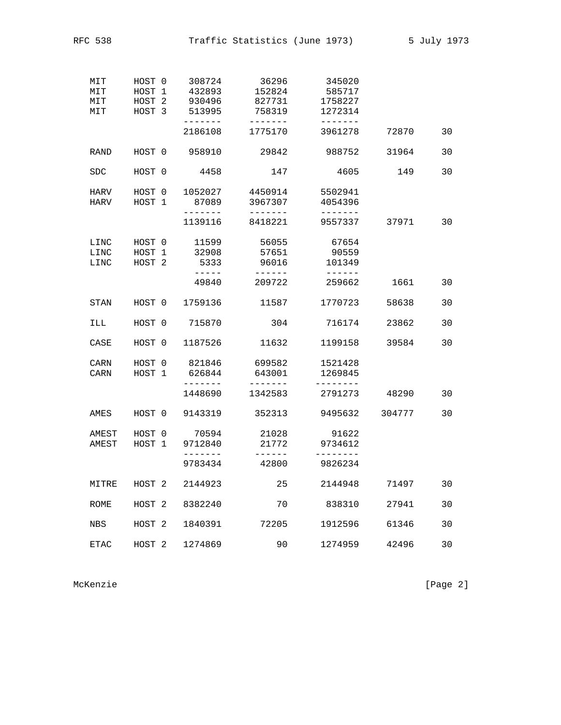RFC 538 Traffic Statistics (June 1973) 5 July 1973

| MIT<br>MIT<br>MIT<br>MIT | HOST 0<br>HOST 1<br>HOST <sub>2</sub><br>HOST <sub>3</sub> | 308724<br>432893<br>930496<br>513995 | 36296<br>152824<br>827731<br>758319        | 345020<br>585717<br>1758227<br>1272314    |        |    |
|--------------------------|------------------------------------------------------------|--------------------------------------|--------------------------------------------|-------------------------------------------|--------|----|
|                          |                                                            | -------<br>2186108                   | -------<br>1775170                         | $- - - - - - -$<br>3961278                | 72870  | 30 |
| RAND                     | HOST 0                                                     | 958910                               | 29842                                      | 988752                                    | 31964  | 30 |
| <b>SDC</b>               | HOST 0                                                     | 4458                                 | 147                                        | 4605                                      | 149    | 30 |
| HARV<br>HARV             | HOST 0<br>HOST 1                                           | 1052027<br>87089<br>-------          | 4450914<br>3967307<br>-------              | 5502941<br>4054396<br>-------             |        |    |
|                          |                                                            | 1139116                              | 8418221                                    | 9557337                                   | 37971  | 30 |
| LINC<br>LINC<br>LINC     | HOST 0<br>HOST 1<br>HOST <sub>2</sub>                      | 11599<br>32908<br>5333<br>$------$   | 56055<br>57651<br>96016<br>$- - - - - - -$ | 67654<br>90559<br>101349<br>$- - - - - -$ |        |    |
|                          |                                                            | 49840                                | 209722                                     | 259662                                    | 1661   | 30 |
| STAN                     | HOST 0                                                     | 1759136                              | 11587                                      | 1770723                                   | 58638  | 30 |
| ILL                      | HOST 0                                                     | 715870                               | 304                                        | 716174                                    | 23862  | 30 |
| CASE                     | HOST 0                                                     | 1187526                              | 11632                                      | 1199158                                   | 39584  | 30 |
| CARN<br>CARN             | HOST 0<br>HOST 1                                           | 821846<br>626844<br>-------          | 699582<br>643001                           | 1521428<br>1269845                        |        |    |
|                          |                                                            | 1448690                              | 1342583                                    | 2791273                                   | 48290  | 30 |
| AMES                     | HOST 0                                                     | 9143319                              | 352313                                     | 9495632                                   | 304777 | 30 |
| AMEST<br>AMEST           | HOST 0<br>HOST 1                                           | 70594<br>9712840<br>-------          | 21028<br>21772<br>------                   | 91622<br>9734612<br>--------              |        |    |
|                          |                                                            | 9783434                              | 42800                                      | 9826234                                   |        |    |
| MITRE                    | HOST <sub>2</sub>                                          | 2144923                              | 25                                         | 2144948                                   | 71497  | 30 |
| <b>ROME</b>              | HOST <sub>2</sub>                                          | 8382240                              | 70                                         | 838310                                    | 27941  | 30 |
| <b>NBS</b>               | HOST <sub>2</sub>                                          | 1840391                              | 72205                                      | 1912596                                   | 61346  | 30 |
| <b>ETAC</b>              | HOST <sub>2</sub>                                          | 1274869                              | 90                                         | 1274959                                   | 42496  | 30 |

McKenzie [Page 2]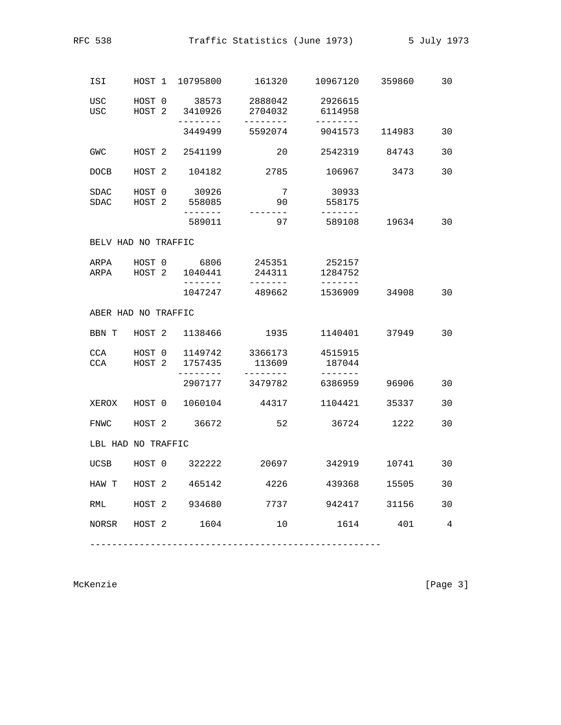|  | RFC. |  |
|--|------|--|
|--|------|--|

| ISI                |                     |                                                |                                               | HOST 1 10795800 161320 10967120 359860                       |               | 30             |  |  |
|--------------------|---------------------|------------------------------------------------|-----------------------------------------------|--------------------------------------------------------------|---------------|----------------|--|--|
| <b>USC</b><br>USC. |                     | HOST 2 3410926<br>-------<br>$= -$             | 2704032<br>---------                          | HOST 0 38573 2888042 2926615<br>6114958<br>$- - - - - - - -$ |               |                |  |  |
|                    |                     |                                                |                                               | 3449499 5592074 9041573 114983                               |               | 30             |  |  |
| <b>GWC</b>         |                     | HOST 2 2541199                                 |                                               | 20 2542319 84743                                             |               | 30             |  |  |
| <b>DOCB</b>        |                     | HOST 2 104182                                  | 2785                                          | 106967 3473                                                  |               | 30             |  |  |
| SDAC               |                     | HOST 0 30926<br>SDAC HOST 2 558085<br>-------- | $\overline{7}$<br>90                          | 30933<br>558175<br>-------                                   |               |                |  |  |
|                    |                     | 589011                                         | 97                                            | 589108 19634                                                 |               | 30             |  |  |
|                    | BELV HAD NO TRAFFIC |                                                |                                               |                                                              |               |                |  |  |
|                    |                     | ARPA HOST 0 6806<br>ARPA HOST 2 1040441        | 245351<br>$- - - - - - -$                     | 252157<br>244311 1284752<br>$- - - - - - -$                  |               |                |  |  |
|                    |                     | 1047247                                        | 489662                                        |                                                              | 1536909 34908 | 30             |  |  |
|                    | ABER HAD NO TRAFFIC |                                                |                                               |                                                              |               |                |  |  |
|                    |                     | BBN T HOST 2 1138466                           | 1935                                          |                                                              | 1140401 37949 | 30             |  |  |
| CCA<br>CCA         | HOST 2              | 1757435<br>---------                           | HOST 0 1149742 3366173<br>113609<br>--------- | 4515915<br>187044                                            |               |                |  |  |
|                    |                     |                                                | 2907177 3479782                               | 6386959                                                      | 96906         | 30             |  |  |
|                    |                     | XEROX HOST 0 1060104                           | 44317                                         | 1104421                                                      | 35337         | 30             |  |  |
|                    |                     | FNWC HOST 2 36672                              | 52                                            |                                                              | 36724 1222    | 30             |  |  |
|                    | LBL HAD NO TRAFFIC  |                                                |                                               |                                                              |               |                |  |  |
|                    |                     |                                                |                                               | UCSB HOST 0 322222 20697 342919 10741                        |               | 30             |  |  |
|                    |                     | HAW T HOST 2 465142                            | 4226                                          | 439368                                                       | 15505         | 30             |  |  |
| RML                |                     | HOST 2 934680                                  | 7737                                          | 942417                                                       | 31156         | 30             |  |  |
|                    |                     | NORSR HOST 2 1604                              | 10                                            |                                                              | 1614<br>401   | $\overline{4}$ |  |  |

McKenzie [Page 3]